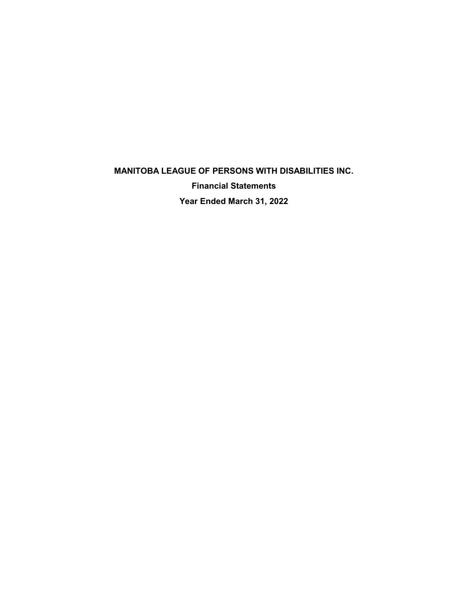# **MANITOBA LEAGUE OF PERSONS WITH DISABILITIES INC. Financial Statements Year Ended March 31, 2022**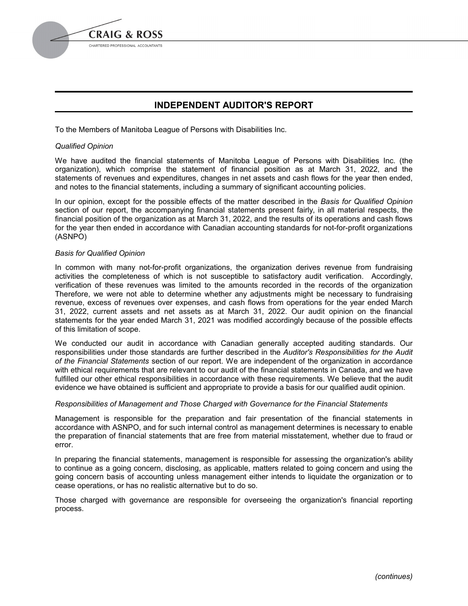**INDEPENDENT AUDITOR'S REPORT**

To the Members of Manitoba League of Persons with Disabilities Inc.

### *Qualified Opinion*

**CRAIG & ROSS** CHARTERED PROFESSIONAL ACCOUNTANTS

We have audited the financial statements of Manitoba League of Persons with Disabilities Inc. (the organization), which comprise the statement of financial position as at March 31, 2022, and the statements of revenues and expenditures, changes in net assets and cash flows for the year then ended, and notes to the financial statements, including a summary of significant accounting policies.

In our opinion, except for the possible effects of the matter described in the *Basis for Qualified Opinion* section of our report, the accompanying financial statements present fairly, in all material respects, the financial position of the organization as at March 31, 2022, and the results of its operations and cash flows for the year then ended in accordance with Canadian accounting standards for not-for-profit organizations (ASNPO)

#### *Basis for Qualified Opinion*

In common with many not-for-profit organizations, the organization derives revenue from fundraising activities the completeness of which is not susceptible to satisfactory audit verification. Accordingly, verification of these revenues was limited to the amounts recorded in the records of the organization Therefore, we were not able to determine whether any adjustments might be necessary to fundraising revenue, excess of revenues over expenses, and cash flows from operations for the year ended March 31, 2022, current assets and net assets as at March 31, 2022. Our audit opinion on the financial statements for the year ended March 31, 2021 was modified accordingly because of the possible effects of this limitation of scope.

We conducted our audit in accordance with Canadian generally accepted auditing standards. Our responsibilities under those standards are further described in the *Auditor's Responsibilities for the Audit of the Financial Statements* section of our report. We are independent of the organization in accordance with ethical requirements that are relevant to our audit of the financial statements in Canada, and we have fulfilled our other ethical responsibilities in accordance with these requirements. We believe that the audit evidence we have obtained is sufficient and appropriate to provide a basis for our qualified audit opinion.

#### *Responsibilities of Management and Those Charged with Governance for the Financial Statements*

Management is responsible for the preparation and fair presentation of the financial statements in accordance with ASNPO, and for such internal control as management determines is necessary to enable the preparation of financial statements that are free from material misstatement, whether due to fraud or error.

In preparing the financial statements, management is responsible for assessing the organization's ability to continue as a going concern, disclosing, as applicable, matters related to going concern and using the going concern basis of accounting unless management either intends to liquidate the organization or to cease operations, or has no realistic alternative but to do so.

Those charged with governance are responsible for overseeing the organization's financial reporting process.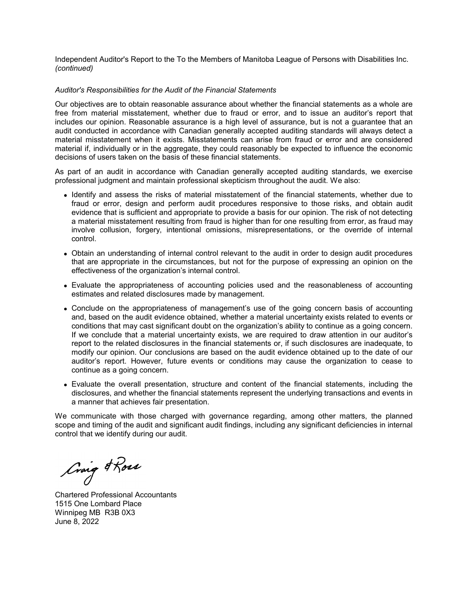Independent Auditor's Report to the To the Members of Manitoba League of Persons with Disabilities Inc. *(continued)*

### *Auditor's Responsibilities for the Audit of the Financial Statements*

Our objectives are to obtain reasonable assurance about whether the financial statements as a whole are free from material misstatement, whether due to fraud or error, and to issue an auditor's report that includes our opinion. Reasonable assurance is a high level of assurance, but is not a guarantee that an audit conducted in accordance with Canadian generally accepted auditing standards will always detect a material misstatement when it exists. Misstatements can arise from fraud or error and are considered material if, individually or in the aggregate, they could reasonably be expected to influence the economic decisions of users taken on the basis of these financial statements.

As part of an audit in accordance with Canadian generally accepted auditing standards, we exercise professional judgment and maintain professional skepticism throughout the audit. We also:

- Identify and assess the risks of material misstatement of the financial statements, whether due to fraud or error, design and perform audit procedures responsive to those risks, and obtain audit evidence that is sufficient and appropriate to provide a basis for our opinion. The risk of not detecting a material misstatement resulting from fraud is higher than for one resulting from error, as fraud may involve collusion, forgery, intentional omissions, misrepresentations, or the override of internal control.
- Obtain an understanding of internal control relevant to the audit in order to design audit procedures that are appropriate in the circumstances, but not for the purpose of expressing an opinion on the effectiveness of the organization's internal control.
- Evaluate the appropriateness of accounting policies used and the reasonableness of accounting estimates and related disclosures made by management.
- Conclude on the appropriateness of management's use of the going concern basis of accounting and, based on the audit evidence obtained, whether a material uncertainty exists related to events or conditions that may cast significant doubt on the organization's ability to continue as a going concern. If we conclude that a material uncertainty exists, we are required to draw attention in our auditor's report to the related disclosures in the financial statements or, if such disclosures are inadequate, to modify our opinion. Our conclusions are based on the audit evidence obtained up to the date of our auditor's report. However, future events or conditions may cause the organization to cease to continue as a going concern.
- Evaluate the overall presentation, structure and content of the financial statements, including the disclosures, and whether the financial statements represent the underlying transactions and events in a manner that achieves fair presentation.

We communicate with those charged with governance regarding, among other matters, the planned scope and timing of the audit and significant audit findings, including any significant deficiencies in internal control that we identify during our audit.

Craig & Ross

Chartered Professional Accountants 1515 One Lombard Place Winnipeg MB R3B 0X3 June 8, 2022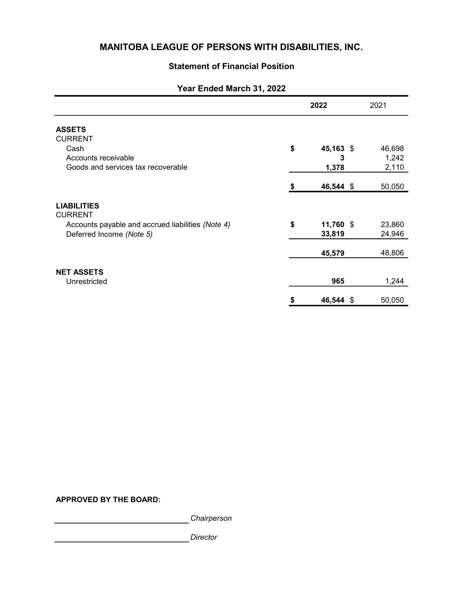### Statement of Financial Position

|                                                                                                                       | 2022 |                     | 2021             |  |
|-----------------------------------------------------------------------------------------------------------------------|------|---------------------|------------------|--|
| <b>ASSETS</b><br><b>CURRENT</b>                                                                                       |      |                     |                  |  |
| Cash                                                                                                                  | \$   | 45,163 \$           | 46,698           |  |
| Accounts receivable                                                                                                   |      | 3                   | 1,242            |  |
| Goods and services tax recoverable                                                                                    |      | 1,378               | 2,110            |  |
|                                                                                                                       |      |                     |                  |  |
|                                                                                                                       | S    | 46,544 \$           | 50,050           |  |
| <b>LIABILITIES</b><br><b>CURRENT</b><br>Accounts payable and accrued liabilities (Note 4)<br>Deferred Income (Note 5) | \$   | 11,760 \$<br>33,819 | 23,860<br>24,946 |  |
|                                                                                                                       |      | 45,579              | 48,806           |  |
| <b>NET ASSETS</b><br>Unrestricted                                                                                     |      | 965                 | 1,244            |  |
|                                                                                                                       | \$   | 46,544 \$           | 50,050           |  |

### Year Ended March 31, 2022

APPROVED BY THE BOARD:

**Chairperson**<br>
Chairperson

Director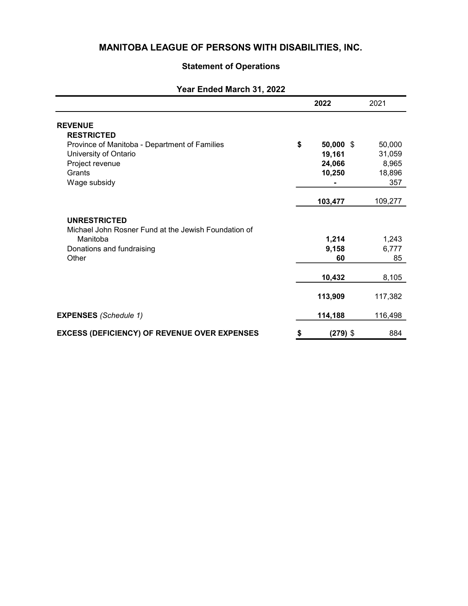# Statement of Operations

|                                                                                                                               | 2022                 | 2021                 |
|-------------------------------------------------------------------------------------------------------------------------------|----------------------|----------------------|
| <b>REVENUE</b><br><b>RESTRICTED</b>                                                                                           |                      |                      |
| Province of Manitoba - Department of Families                                                                                 | \$<br>$50,000$ \$    | 50,000               |
| University of Ontario                                                                                                         | 19,161               | 31,059               |
| Project revenue                                                                                                               | 24,066               | 8,965                |
| Grants                                                                                                                        | 10,250               | 18,896               |
| Wage subsidy                                                                                                                  |                      | 357                  |
|                                                                                                                               | 103,477              | 109,277              |
| <b>UNRESTRICTED</b><br>Michael John Rosner Fund at the Jewish Foundation of<br>Manitoba<br>Donations and fundraising<br>Other | 1,214<br>9,158<br>60 | 1,243<br>6,777<br>85 |
|                                                                                                                               | 10,432               | 8,105                |
|                                                                                                                               | 113,909              | 117,382              |
| <b>EXPENSES</b> (Schedule 1)                                                                                                  | 114,188              | 116,498              |
| <b>EXCESS (DEFICIENCY) OF REVENUE OVER EXPENSES</b>                                                                           | \$<br>$(279)$ \$     | 884                  |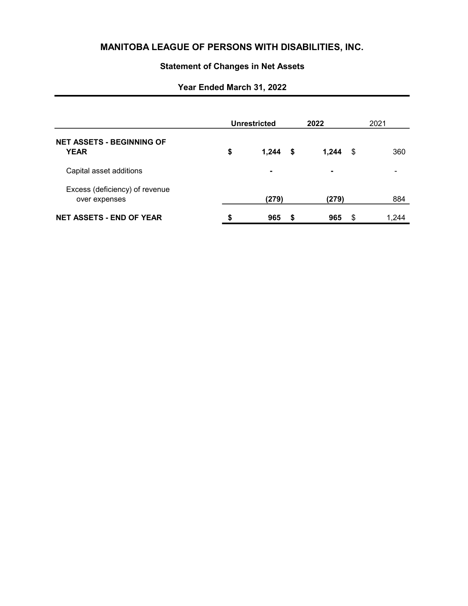# Statement of Changes in Net Assets

|                                                 | <b>Unrestricted</b> |      | 2022           |    | 2021  |  |
|-------------------------------------------------|---------------------|------|----------------|----|-------|--|
| <b>NET ASSETS - BEGINNING OF</b><br><b>YEAR</b> | \$<br>1,244         | - \$ | 1.244          | \$ | 360   |  |
| Capital asset additions                         | $\blacksquare$      |      | $\blacksquare$ |    |       |  |
| Excess (deficiency) of revenue<br>over expenses | (279)               |      | (279)          |    | 884   |  |
| <b>NET ASSETS - END OF YEAR</b>                 | \$<br>965           | S    | 965            | \$ | 1.244 |  |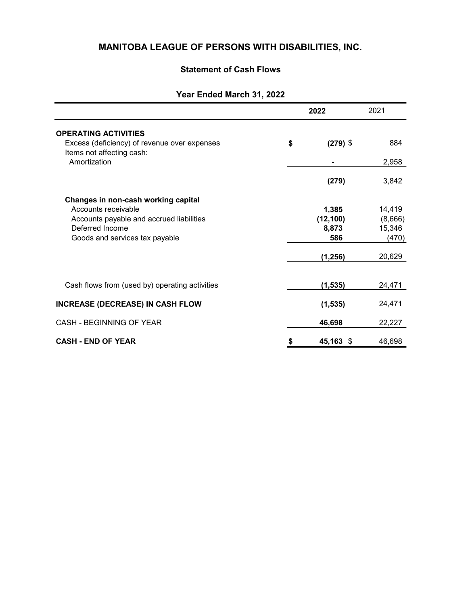# Statement of Cash Flows

|                                                                           | 2022             | 2021    |
|---------------------------------------------------------------------------|------------------|---------|
| <b>OPERATING ACTIVITIES</b>                                               |                  |         |
| Excess (deficiency) of revenue over expenses<br>Items not affecting cash: | \$<br>$(279)$ \$ | 884     |
| Amortization                                                              |                  | 2,958   |
|                                                                           | (279)            | 3,842   |
| Changes in non-cash working capital                                       |                  |         |
| Accounts receivable                                                       | 1,385            | 14,419  |
| Accounts payable and accrued liabilities                                  | (12, 100)        | (8,666) |
| Deferred Income                                                           | 8,873            | 15,346  |
| Goods and services tax payable                                            | 586              | (470)   |
|                                                                           | (1, 256)         | 20,629  |
|                                                                           |                  |         |
| Cash flows from (used by) operating activities                            | (1, 535)         | 24,471  |
| <b>INCREASE (DECREASE) IN CASH FLOW</b>                                   | (1, 535)         | 24,471  |
| CASH - BEGINNING OF YEAR                                                  | 46,698           | 22,227  |
| <b>CASH - END OF YEAR</b>                                                 | \$<br>45,163 \$  | 46,698  |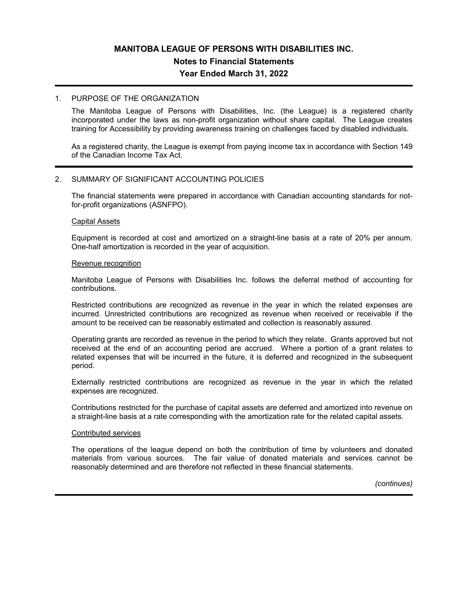# **MANITOBA LEAGUE OF PERSONS WITH DISABILITIES INC. Notes to Financial Statements Year Ended March 31, 2022**

### 1. PURPOSE OF THE ORGANIZATION

The Manitoba League of Persons with Disabilities, Inc. (the League) is a registered charity incorporated under the laws as non-profit organization without share capital. The League creates training for Accessibility by providing awareness training on challenges faced by disabled individuals.

As a registered charity, the League is exempt from paying income tax in accordance with Section 149 of the Canadian Income Tax Act.

### 2. SUMMARY OF SIGNIFICANT ACCOUNTING POLICIES

The financial statements were prepared in accordance with Canadian accounting standards for notfor-profit organizations (ASNFPO).

#### Capital Assets

Equipment is recorded at cost and amortized on a straight-line basis at a rate of 20% per annum. One-half amortization is recorded in the year of acquisition.

### Revenue recognition

Manitoba League of Persons with Disabilities Inc. follows the deferral method of accounting for contributions.

Restricted contributions are recognized as revenue in the year in which the related expenses are incurred. Unrestricted contributions are recognized as revenue when received or receivable if the amount to be received can be reasonably estimated and collection is reasonably assured.

Operating grants are recorded as revenue in the period to which they relate. Grants approved but not received at the end of an accounting period are accrued. Where a portion of a grant relates to related expenses that will be incurred in the future, it is deferred and recognized in the subsequent period.

Externally restricted contributions are recognized as revenue in the year in which the related expenses are recognized.

Contributions restricted for the purchase of capital assets are deferred and amortized into revenue on a straight-line basis at a rate corresponding with the amortization rate for the related capital assets.

#### Contributed services

The operations of the league depend on both the contribution of time by volunteers and donated materials from various sources. The fair value of donated materials and services cannot be reasonably determined and are therefore not reflected in these financial statements.

*(continues)*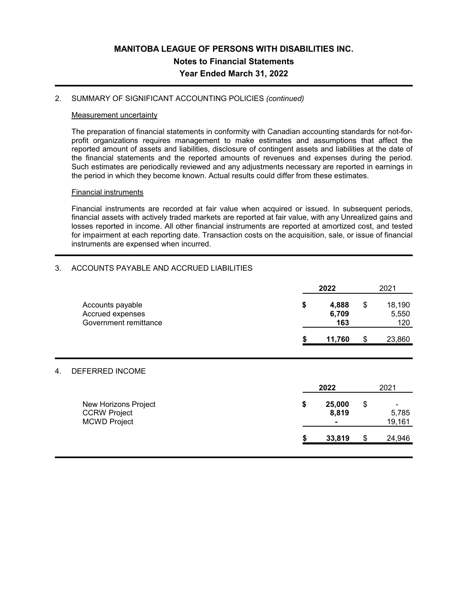# **MANITOBA LEAGUE OF PERSONS WITH DISABILITIES INC. Notes to Financial Statements Year Ended March 31, 2022**

### 2. SUMMARY OF SIGNIFICANT ACCOUNTING POLICIES *(continued)*

### Measurement uncertainty

The preparation of financial statements in conformity with Canadian accounting standards for not-forprofit organizations requires management to make estimates and assumptions that affect the reported amount of assets and liabilities, disclosure of contingent assets and liabilities at the date of the financial statements and the reported amounts of revenues and expenses during the period. Such estimates are periodically reviewed and any adjustments necessary are reported in earnings in the period in which they become known. Actual results could differ from these estimates.

### Financial instruments

Financial instruments are recorded at fair value when acquired or issued. In subsequent periods, financial assets with actively traded markets are reported at fair value, with any Unrealized gains and losses reported in income. All other financial instruments are reported at amortized cost, and tested for impairment at each reporting date. Transaction costs on the acquisition, sale, or issue of financial instruments are expensed when incurred.

### 3. ACCOUNTS PAYABLE AND ACCRUED LIABILITIES

|    |                                                                    | 2022                        |    | 2021                   |  |
|----|--------------------------------------------------------------------|-----------------------------|----|------------------------|--|
|    | Accounts payable<br>Accrued expenses<br>Government remittance      | \$<br>4,888<br>6,709<br>163 | \$ | 18,190<br>5,550<br>120 |  |
|    |                                                                    | \$<br>11,760                | \$ | 23,860                 |  |
| 4. | DEFERRED INCOME                                                    | 2022                        |    | 2021                   |  |
|    | New Horizons Project<br><b>CCRW Project</b><br><b>MCWD Project</b> | \$<br>25,000<br>8,819       | \$ | 5,785<br>19,161        |  |
|    |                                                                    | 33,819                      | \$ | 24,946                 |  |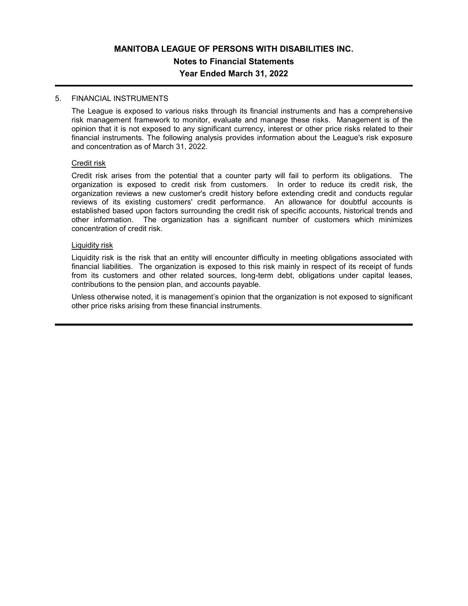# **MANITOBA LEAGUE OF PERSONS WITH DISABILITIES INC. Notes to Financial Statements Year Ended March 31, 2022**

### 5. FINANCIAL INSTRUMENTS

The League is exposed to various risks through its financial instruments and has a comprehensive risk management framework to monitor, evaluate and manage these risks. Management is of the opinion that it is not exposed to any significant currency, interest or other price risks related to their financial instruments. The following analysis provides information about the League's risk exposure and concentration as of March 31, 2022.

### Credit risk

Credit risk arises from the potential that a counter party will fail to perform its obligations. The organization is exposed to credit risk from customers. In order to reduce its credit risk, the organization reviews a new customer's credit history before extending credit and conducts regular reviews of its existing customers' credit performance. An allowance for doubtful accounts is established based upon factors surrounding the credit risk of specific accounts, historical trends and other information. The organization has a significant number of customers which minimizes concentration of credit risk.

#### Liquidity risk

Liquidity risk is the risk that an entity will encounter difficulty in meeting obligations associated with financial liabilities. The organization is exposed to this risk mainly in respect of its receipt of funds from its customers and other related sources, long-term debt, obligations under capital leases, contributions to the pension plan, and accounts payable.

Unless otherwise noted, it is management's opinion that the organization is not exposed to significant other price risks arising from these financial instruments.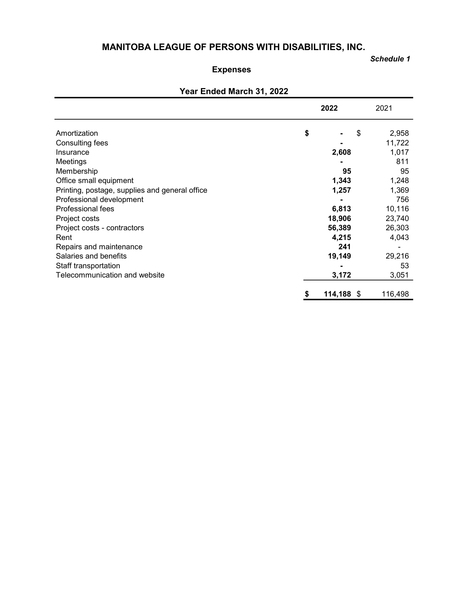Schedule 1

# Expenses

|                                                | 2022             | 2021    |
|------------------------------------------------|------------------|---------|
| Amortization                                   | \$<br>\$         | 2,958   |
| Consulting fees                                |                  | 11,722  |
| Insurance                                      | 2,608            | 1,017   |
| Meetings                                       |                  | 811     |
| Membership                                     | 95               | 95      |
| Office small equipment                         | 1,343            | 1,248   |
| Printing, postage, supplies and general office | 1,257            | 1,369   |
| Professional development                       |                  | 756     |
| Professional fees                              | 6,813            | 10,116  |
| Project costs                                  | 18,906           | 23,740  |
| Project costs - contractors                    | 56,389           | 26,303  |
| Rent                                           | 4,215            | 4,043   |
| Repairs and maintenance                        | 241              |         |
| Salaries and benefits                          | 19,149           | 29,216  |
| Staff transportation                           |                  | 53      |
| Telecommunication and website                  | 3,172            | 3,051   |
|                                                | \$<br>114,188 \$ | 116,498 |